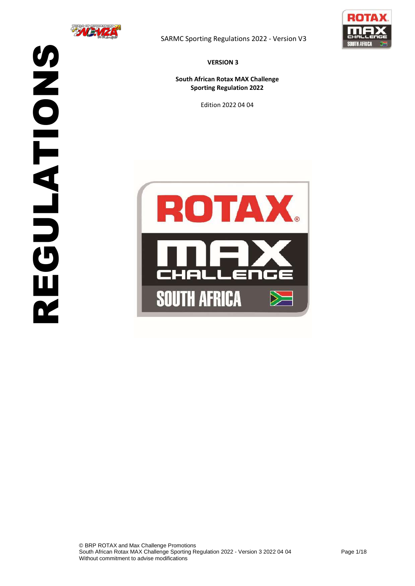



**VERSION 3**

**South African Rotax MAX Challenge Sporting Regulation 2022**

Edition 2022 04 04

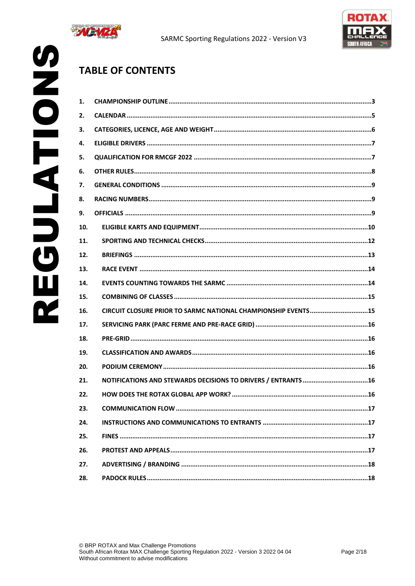



# **TABLE OF CONTENTS**

| 1.  |                                                               |
|-----|---------------------------------------------------------------|
| 2.  |                                                               |
| З.  |                                                               |
| 4.  |                                                               |
| 5.  |                                                               |
| 6.  |                                                               |
| 7.  |                                                               |
| 8.  |                                                               |
| 9.  |                                                               |
| 10. |                                                               |
| 11. |                                                               |
| 12. |                                                               |
| 13. |                                                               |
| 14. |                                                               |
| 15. |                                                               |
| 16. | CIRCUIT CLOSURE PRIOR TO SARMC NATIONAL CHAMPIONSHIP EVENTS15 |
| 17. |                                                               |
| 18. |                                                               |
| 19. |                                                               |
| 20. |                                                               |
| 21. |                                                               |
| 22. |                                                               |
| 23. |                                                               |
| 24. |                                                               |
| 25. |                                                               |
| 26. |                                                               |
| 27. |                                                               |
| 28. |                                                               |
|     |                                                               |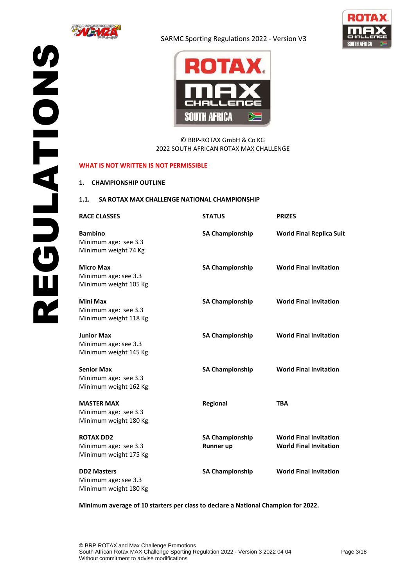





© BRP-ROTAX GmbH & Co KG 2022 SOUTH AFRICAN ROTAX MAX CHALLENGE

#### **WHAT IS NOT WRITTEN IS NOT PERMISSIBLE**

#### <span id="page-2-0"></span>**1. CHAMPIONSHIP OUTLINE**

#### **1.1. SA ROTAX MAX CHALLENGE NATIONAL CHAMPIONSHIP**

| <b>RACE CLASSES</b>                                                 | <b>STATUS</b>                              | <b>PRIZES</b>                                                  |
|---------------------------------------------------------------------|--------------------------------------------|----------------------------------------------------------------|
| <b>Bambino</b><br>Minimum age: see 3.3<br>Minimum weight 74 Kg      | <b>SA Championship</b>                     | <b>World Final Replica Suit</b>                                |
| <b>Micro Max</b><br>Minimum age: see 3.3<br>Minimum weight 105 Kg   | <b>SA Championship</b>                     | <b>World Final Invitation</b>                                  |
| <b>Mini Max</b><br>Minimum age: see 3.3<br>Minimum weight 118 Kg    | <b>SA Championship</b>                     | <b>World Final Invitation</b>                                  |
| <b>Junior Max</b><br>Minimum age: see 3.3<br>Minimum weight 145 Kg  | <b>SA Championship</b>                     | <b>World Final Invitation</b>                                  |
| <b>Senior Max</b><br>Minimum age: see 3.3<br>Minimum weight 162 Kg  | <b>SA Championship</b>                     | <b>World Final Invitation</b>                                  |
| <b>MASTER MAX</b><br>Minimum age: see 3.3<br>Minimum weight 180 Kg  | Regional                                   | <b>TBA</b>                                                     |
| <b>ROTAX DD2</b><br>Minimum age: see 3.3<br>Minimum weight 175 Kg   | <b>SA Championship</b><br><b>Runner up</b> | <b>World Final Invitation</b><br><b>World Final Invitation</b> |
| <b>DD2 Masters</b><br>Minimum age: see 3.3<br>Minimum weight 180 Kg | <b>SA Championship</b>                     | <b>World Final Invitation</b>                                  |

**Minimum average of 10 starters per class to declare a National Champion for 2022.**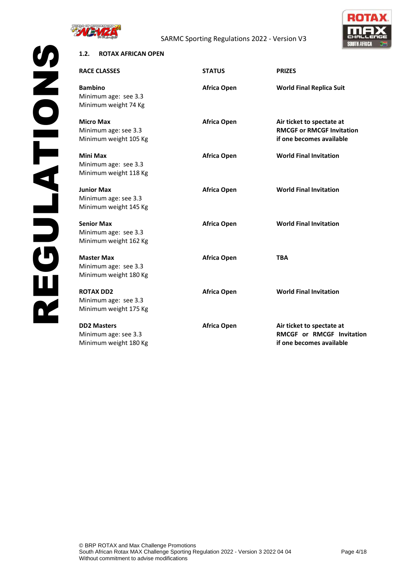

# SARMC Sporting Regulations 2022 - Version V3



# **1.2. ROTAX AFRICAN OPEN**

| <b>RACE CLASSES</b>                                                 | <b>STATUS</b>      | <b>PRIZES</b>                                                                             |
|---------------------------------------------------------------------|--------------------|-------------------------------------------------------------------------------------------|
| <b>Bambino</b><br>Minimum age: see 3.3<br>Minimum weight 74 Kg      | <b>Africa Open</b> | <b>World Final Replica Suit</b>                                                           |
| <b>Micro Max</b><br>Minimum age: see 3.3<br>Minimum weight 105 Kg   | <b>Africa Open</b> | Air ticket to spectate at<br><b>RMCGF or RMCGF Invitation</b><br>if one becomes available |
| <b>Mini Max</b><br>Minimum age: see 3.3<br>Minimum weight 118 Kg    | <b>Africa Open</b> | <b>World Final Invitation</b>                                                             |
| <b>Junior Max</b><br>Minimum age: see 3.3<br>Minimum weight 145 Kg  | Africa Open        | <b>World Final Invitation</b>                                                             |
| <b>Senior Max</b><br>Minimum age: see 3.3<br>Minimum weight 162 Kg  | <b>Africa Open</b> | <b>World Final Invitation</b>                                                             |
| <b>Master Max</b><br>Minimum age: see 3.3<br>Minimum weight 180 Kg  | Africa Open        | TBA                                                                                       |
| <b>ROTAX DD2</b><br>Minimum age: see 3.3<br>Minimum weight 175 Kg   | Africa Open        | <b>World Final Invitation</b>                                                             |
| <b>DD2 Masters</b><br>Minimum age: see 3.3<br>Minimum weight 180 Kg | Africa Open        | Air ticket to spectate at<br><b>RMCGF or RMCGF Invitation</b><br>if one becomes available |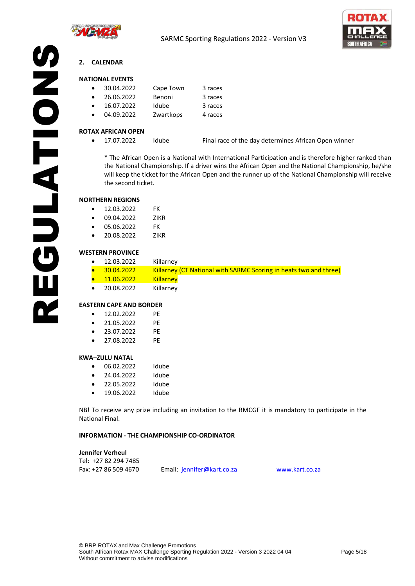



# REGULATIONS **2. CALENDAR**

# <span id="page-4-0"></span>**NATIONAL EVENTS**

| $\bullet$ | 30.04.2022 | Cape Town | 3 races |
|-----------|------------|-----------|---------|
| $\bullet$ | 26.06.2022 | Benoni    | 3 races |
| $\bullet$ | 16.07.2022 | Idube     | 3 races |
| $\bullet$ | 04.09.2022 | Zwartkops | 4 races |

#### **ROTAX AFRICAN OPEN**

• 17.07.2022 Idube Final race of the day determines African Open winner

\* The African Open is a National with International Participation and is therefore higher ranked than the National Championship. If a driver wins the African Open and the National Championship, he/she will keep the ticket for the African Open and the runner up of the National Championship will receive the second ticket.

#### **NORTHERN REGIONS**

SNOLDED HOLD

| 12.03.2022 | FK |
|------------|----|
|            |    |

- 09.04.2022 ZIKR
- 05.06.2022 FK
- 20.08.2022 ZIKR

# **WESTERN PROVINCE**

|  | 12.03.2022 | Killarney                                                                |
|--|------------|--------------------------------------------------------------------------|
|  | 30.04.2022 | <b>Killarney (CT National with SARMC Scoring in heats two and three)</b> |
|  | 11.06.2022 | <b>Killarney</b>                                                         |
|  | 20.08.2022 | Killarney                                                                |

#### **EASTERN CAPE AND BORDER**

- 12.02.2022 PE
- 21.05.2022 PE
- 23.07.2022 PE
- 27.08.2022 PE

#### **KWA–ZULU NATAL**

- 06.02.2022 Idube
- 24.04.2022 Idube
- 22.05.2022 Idube
- 19.06.2022 Idube

NB! To receive any prize including an invitation to the RMCGF it is mandatory to participate in the National Final.

#### **INFORMATION - THE CHAMPIONSHIP CO-ORDINATOR**

**Jennifer Verheul** Tel: +27 82 294 7485

Fax: +27 86 509 4670 Email: [jennifer@kart.co.za](mailto:jennifer@kart.co.za) [www.kart.co.za](http://www.kart.co.za/)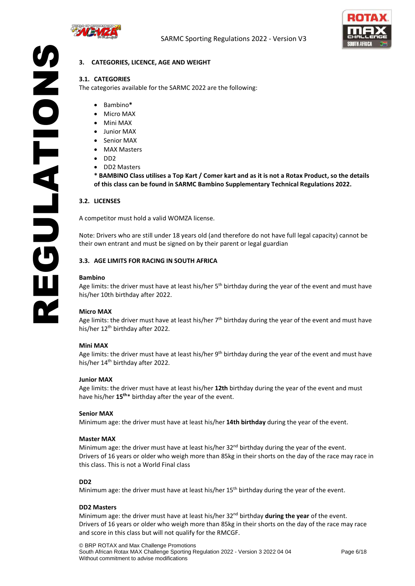



# <span id="page-5-0"></span>**3. CATEGORIES, LICENCE, AGE AND WEIGHT**

# **3.1. CATEGORIES**

The categories available for the SARMC 2022 are the following:

- Bambino**\***
- Micro MAX
- Mini MAX
- Junior MAX
- Senior MAX
- MAX Masters
- DD2
- DD2 Masters

**\* BAMBINO Class utilises a Top Kart / Comer kart and as it is not a Rotax Product, so the details of this class can be found in SARMC Bambino Supplementary Technical Regulations 2022.** 

#### **3.2. LICENSES**

EGULATION

A competitor must hold a valid WOMZA license.

**SZOLATIONS** Note: Drivers who are still under 18 years old (and therefore do not have full legal capacity) cannot be their own entrant and must be signed on by their parent or legal guardian

#### **3.3. AGE LIMITS FOR RACING IN SOUTH AFRICA**

#### **Bambino**

Age limits: the driver must have at least his/her 5<sup>th</sup> birthday during the year of the event and must have his/her 10th birthday after 2022.

#### **Micro MAX**

Age limits: the driver must have at least his/her 7<sup>th</sup> birthday during the year of the event and must have his/her 12<sup>th</sup> birthday after 2022.

#### **Mini MAX**

Age limits: the driver must have at least his/her 9<sup>th</sup> birthday during the year of the event and must have his/her 14<sup>th</sup> birthday after 2022.

#### **Junior MAX**

Age limits: the driver must have at least his/her **12th** birthday during the year of the event and must have his/her **15th**\* birthday after the year of the event.

#### **Senior MAX**

Minimum age: the driver must have at least his/her **14th birthday** during the year of the event.

#### **Master MAX**

Minimum age: the driver must have at least his/her 32<sup>nd</sup> birthday during the year of the event. Drivers of 16 years or older who weigh more than 85kg in their shorts on the day of the race may race in this class. This is not a World Final class

#### **DD2**

Minimum age: the driver must have at least his/her  $15<sup>th</sup>$  birthday during the year of the event.

#### **DD2 Masters**

Minimum age: the driver must have at least his/her 32nd birthday **during the year** of the event. Drivers of 16 years or older who weigh more than 85kg in their shorts on the day of the race may race and score in this class but will not qualify for the RMCGF.

© BRP ROTAX and Max Challenge Promotions South African Rotax MAX Challenge Sporting Regulation 2022 - Version 3 2022 04 04 Page 6/18 Without commitment to advise modifications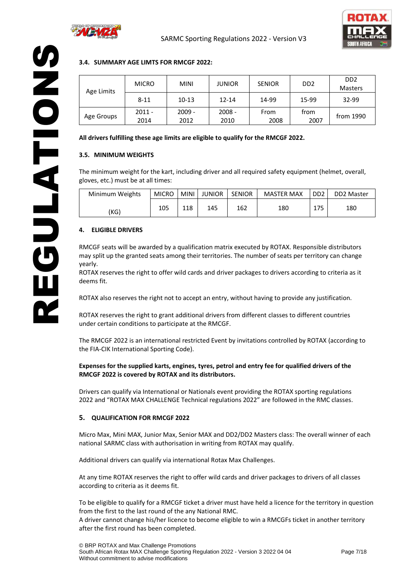



# **3.4. SUMMARY AGE LIMTS FOR RMCGF 2022:**

| Age Limits                                                                                                                    | <b>MICRO</b>     |                     | <b>MINI</b>        |                      | <b>JUNIOR</b>        | <b>SENIOR</b>            | D <sub>D</sub> <sub>2</sub> |                                    | D <sub>D</sub> <sub>2</sub><br>Masters |
|-------------------------------------------------------------------------------------------------------------------------------|------------------|---------------------|--------------------|----------------------|----------------------|--------------------------|-----------------------------|------------------------------------|----------------------------------------|
|                                                                                                                               | $8 - 11$         |                     | $10 - 13$          |                      | 12-14                | 14-99                    | 15-99                       |                                    | 32-99                                  |
| Age Groups                                                                                                                    | $2011 -$<br>2014 |                     | 2009 -<br>2012     |                      | $2008 -$<br>2010     | From<br>2008             | from                        | 2007                               | from 1990                              |
|                                                                                                                               |                  |                     |                    |                      |                      |                          |                             |                                    |                                        |
| 3.5. MINIMUM WEIGHTS<br>The minimum weight for the kart, including driver and all required safety equipment (helmet, overall, |                  |                     |                    |                      |                      |                          |                             |                                    |                                        |
| gloves, etc.) must be at all times:                                                                                           |                  |                     |                    |                      |                      |                          |                             |                                    |                                        |
| Minimum Weights<br>(KG)                                                                                                       |                  | <b>MICRO</b><br>105 | <b>MINI</b><br>118 | <b>JUNIOR</b><br>145 | <b>SENIOR</b><br>162 | <b>MASTER MAX</b><br>180 |                             | D <sub>D</sub> <sub>2</sub><br>175 | DD2 Master<br>180                      |

# **3.5. MINIMUM WEIGHTS**

**POINTAIN** 

| Minimum Weights | <b>MICRO</b> | <b>MINI</b> | <b>JUNIOR</b> | <b>SENIOR</b> | <b>MASTER MAX</b> | D <sub>D</sub> <sub>2</sub> | DD <sub>2</sub> Master |
|-----------------|--------------|-------------|---------------|---------------|-------------------|-----------------------------|------------------------|
| (KG)            | 105          | 118         | 145           | 162           | 180               | 175                         | 180                    |

# <span id="page-6-0"></span>**4. ELIGIBLE DRIVERS**

ROTAX reserves the right to grant additional drivers from different classes to different countries under certain conditions to participate at the RMCGF.

The RMCGF 2022 is an international restricted Event by invitations controlled by ROTAX (according to the FIA-CIK International Sporting Code).

# **Expenses for the supplied karts, engines, tyres, petrol and entry fee for qualified drivers of the RMCGF 2022 is covered by ROTAX and its distributors.**

Drivers can qualify via International or Nationals event providing the ROTAX sporting regulations 2022 and "ROTAX MAX CHALLENGE Technical regulations 2022" are followed in the RMC classes.

#### <span id="page-6-1"></span>**5. QUALIFICATION FOR RMCGF 2022**

Micro Max, Mini MAX, Junior Max, Senior MAX and DD2/DD2 Masters class: The overall winner of each national SARMC class with authorisation in writing from ROTAX may qualify.

Additional drivers can qualify via international Rotax Max Challenges.

At any time ROTAX reserves the right to offer wild cards and driver packages to drivers of all classes according to criteria as it deems fit.

To be eligible to qualify for a RMCGF ticket a driver must have held a licence for the territory in question from the first to the last round of the any National RMC.

A driver cannot change his/her licence to become eligible to win a RMCGFs ticket in another territory after the first round has been completed.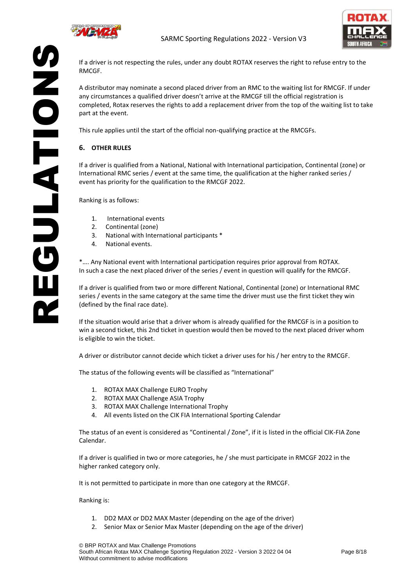



REGULATION SNOLDED HOLD RMCGF.

If a driver is not respecting the rules, under any doubt ROTAX reserves the right to refuse entry to the

A distributor may nominate a second placed driver from an RMC to the waiting list for RMCGF. If under any circumstances a qualified driver doesn't arrive at the RMCGF till the official registration is completed, Rotax reserves the rights to add a replacement driver from the top of the waiting list to take part at the event.

This rule applies until the start of the official non-qualifying practice at the RMCGFs.

# <span id="page-7-0"></span>**6. OTHER RULES**

If a driver is qualified from a National, National with International participation, Continental (zone) or International RMC series / event at the same time, the qualification at the higher ranked series / event has priority for the qualification to the RMCGF 2022.

Ranking is as follows:

- 1. International events
- 2. Continental (zone)
- 3. National with International participants \*
- 4. National events.

\*…. Any National event with International participation requires prior approval from ROTAX. In such a case the next placed driver of the series / event in question will qualify for the RMCGF.

If a driver is qualified from two or more different National, Continental (zone) or International RMC series / events in the same category at the same time the driver must use the first ticket they win (defined by the final race date).

If the situation would arise that a driver whom is already qualified for the RMCGF is in a position to win a second ticket, this 2nd ticket in question would then be moved to the next placed driver whom is eligible to win the ticket.

A driver or distributor cannot decide which ticket a driver uses for his / her entry to the RMCGF.

The status of the following events will be classified as "International"

- 1. ROTAX MAX Challenge EURO Trophy
- 2. ROTAX MAX Challenge ASIA Trophy
- 3. ROTAX MAX Challenge International Trophy
- 4. All events listed on the CIK FIA International Sporting Calendar

The status of an event is considered as "Continental / Zone", if it is listed in the official CIK-FIA Zone Calendar.

If a driver is qualified in two or more categories, he / she must participate in RMCGF 2022 in the higher ranked category only.

It is not permitted to participate in more than one category at the RMCGF.

Ranking is:

- 1. DD2 MAX or DD2 MAX Master (depending on the age of the driver)
- 2. Senior Max or Senior Max Master (depending on the age of the driver)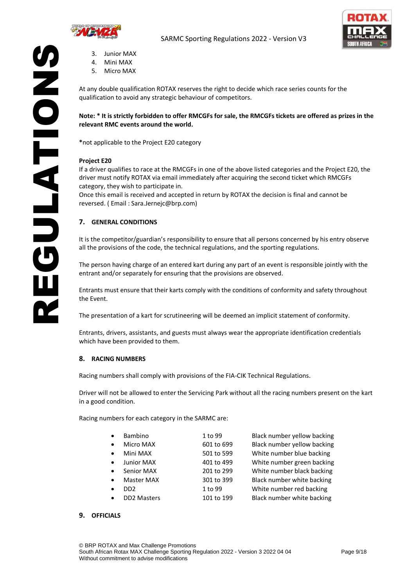



- 3. Junior MAX
- 4. Mini MAX
- 5. Micro MAX

At any double qualification ROTAX reserves the right to decide which race series counts for the qualification to avoid any strategic behaviour of competitors.

# **Note: \* It is strictly forbidden to offer RMCGFs for sale, the RMCGFs tickets are offered as prizes in the relevant RMC events around the world.**

**\***not applicable to the Project E20 category

# **Project E20**

**SNONDED** 

REGULATION If a driver qualifies to race at the RMCGFs in one of the above listed categories and the Project E20, the driver must notify ROTAX via email immediately after acquiring the second ticket which RMCGFs category, they wish to participate in.

Once this email is received and accepted in return by ROTAX the decision is final and cannot be reversed. ( Email : Sara.Jernejc@brp.com)

# <span id="page-8-0"></span>**7. GENERAL CONDITIONS**

It is the competitor/guardian's responsibility to ensure that all persons concerned by his entry observe all the provisions of the code, the technical regulations, and the sporting regulations.

The person having charge of an entered kart during any part of an event is responsible jointly with the entrant and/or separately for ensuring that the provisions are observed.

Entrants must ensure that their karts comply with the conditions of conformity and safety throughout the Event.

The presentation of a kart for scrutineering will be deemed an implicit statement of conformity.

Entrants, drivers, assistants, and guests must always wear the appropriate identification credentials which have been provided to them.

#### <span id="page-8-1"></span>**8. RACING NUMBERS**

Racing numbers shall comply with provisions of the FIA-CIK Technical Regulations.

Driver will not be allowed to enter the Servicing Park without all the racing numbers present on the kart in a good condition.

Racing numbers for each category in the SARMC are:

| Bambino                         | 1 to 99    | Black number yellow backing |
|---------------------------------|------------|-----------------------------|
| Micro MAX<br>$\bullet$          | 601 to 699 | Black number yellow backing |
| Mini MAX<br>$\bullet$           | 501 to 599 | White number blue backing   |
| <b>Junior MAX</b><br>$\bullet$  | 401 to 499 | White number green backing  |
| Senior MAX<br>$\bullet$         | 201 to 299 | White number black backing  |
| <b>Master MAX</b><br>$\bullet$  | 301 to 399 | Black number white backing  |
| DD <sub>2</sub><br>$\bullet$    | 1 to 99    | White number red backing    |
| <b>DD2 Masters</b><br>$\bullet$ | 101 to 199 | Black number white backing  |

#### <span id="page-8-2"></span>**9. OFFICIALS**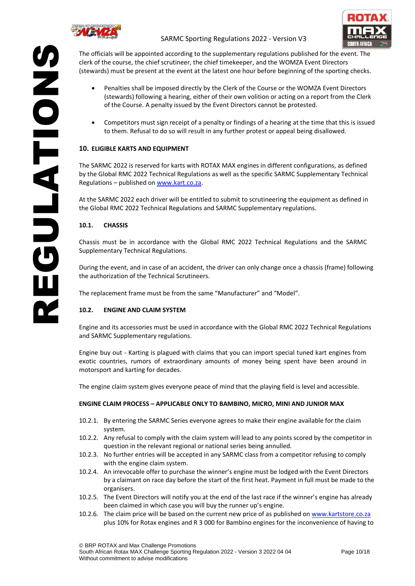



REGULATIONS The officials will be appointed according to the supplementary regulations published for the event. The clerk of the course, the chief scrutineer, the chief timekeeper, and the WOMZA Event Directors (stewards) must be present at the event at the latest one hour before beginning of the sporting checks.

- Penalties shall be imposed directly by the Clerk of the Course or the WOMZA Event Directors (stewards) following a hearing, either of their own volition or acting on a report from the Clerk of the Course. A penalty issued by the Event Directors cannot be protested.
- Competitors must sign receipt of a penalty or findings of a hearing at the time that this is issued to them. Refusal to do so will result in any further protest or appeal being disallowed.

# <span id="page-9-0"></span>**10. ELIGIBLE KARTS AND EQUIPMENT**

The SARMC 2022 is reserved for karts with ROTAX MAX engines in different configurations, as defined by the Global RMC 2022 Technical Regulations as well as the specific SARMC Supplementary Technical Regulations – published on [www.kart.co.za.](http://www.kart.co.za/)

At the SARMC 2022 each driver will be entitled to submit to scrutineering the equipment as defined in the Global RMC 2022 Technical Regulations and SARMC Supplementary regulations.

# **10.1. CHASSIS**

**PROIDIDE** 

Chassis must be in accordance with the Global RMC 2022 Technical Regulations and the SARMC Supplementary Technical Regulations.

During the event, and in case of an accident, the driver can only change once a chassis (frame) following the authorization of the Technical Scrutineers.

The replacement frame must be from the same "Manufacturer" and "Model".

# **10.2. ENGINE AND CLAIM SYSTEM**

Engine and its accessories must be used in accordance with the Global RMC 2022 Technical Regulations and SARMC Supplementary regulations.

Engine buy out - Karting is plagued with claims that you can import special tuned kart engines from exotic countries, rumors of extraordinary amounts of money being spent have been around in motorsport and karting for decades.

The engine claim system gives everyone peace of mind that the playing field is level and accessible.

# **ENGINE CLAIM PROCESS – APPLICABLE ONLY TO BAMBINO, MICRO, MINI AND JUNIOR MAX**

- 10.2.1. By entering the SARMC Series everyone agrees to make their engine available for the claim system.
- 10.2.2. Any refusal to comply with the claim system will lead to any points scored by the competitor in question in the relevant regional or national series being annulled.
- 10.2.3. No further entries will be accepted in any SARMC class from a competitor refusing to comply with the engine claim system.
- 10.2.4. An irrevocable offer to purchase the winner's engine must be lodged with the Event Directors by a claimant on race day before the start of the first heat. Payment in full must be made to the organisers.
- 10.2.5. The Event Directors will notify you at the end of the last race if the winner's engine has already been claimed in which case you will buy the runner up's engine.
- 10.2.6. The claim price will be based on the current new price of as published on [www.kartstore.co.za](http://www.kartstore.co.za/) plus 10% for Rotax engines and R 3 000 for Bambino engines for the inconvenience of having to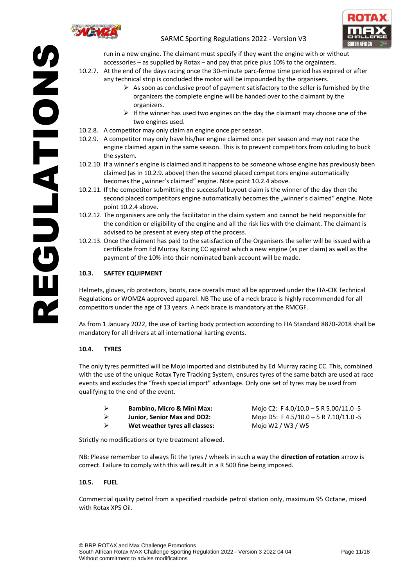

SNOLDED SO

# SARMC Sporting Regulations 2022 - Version V3



run in a new engine. The claimant must specify if they want the engine with or without accessories – as supplied by Rotax – and pay that price plus 10% to the orgainzers.

- **SUBLATIONS** 10.2.7. At the end of the days racing once the 30-minute parc-ferme time period has expired or after any technical strip is concluded the motor will be impounded by the organisers.
	- $\triangleright$  As soon as conclusive proof of payment satisfactory to the seller is furnished by the organizers the complete engine will be handed over to the claimant by the organizers.
	- $\triangleright$  If the winner has used two engines on the day the claimant may choose one of the two engines used.
	- 10.2.8. A competitor may only claim an engine once per season.
	- 10.2.9. A competitor may only have his/her engine claimed once per season and may not race the engine claimed again in the same season. This is to prevent competitors from coluding to buck the system.
	- 10.2.10. If a winner's engine is claimed and it happens to be someone whose engine has previously been claimed (as in 10.2.9. above) then the second placed competitors engine automatically becomes the "winner's claimed" engine. Note point 10.2.4 above.
	- 10.2.11. If the competitor submitting the successful buyout claim is the winner of the day then the second placed competitors engine automatically becomes the "winner's claimed" engine. Note point 10.2.4 above.
	- 10.2.12. The organisers are only the facilitator in the claim system and cannot be held responsible for the condition or eligibility of the engine and all the risk lies with the claimant. The claimant is advised to be present at every step of the process.
	- 10.2.13. Once the claiment has paid to the satisfaction of the Organisers the seller will be issued with a certificate from Ed Murray Racing CC against which a new engine (as per claim) as well as the payment of the 10% into their nominated bank account will be made.

# **10.3. SAFTEY EQUIPMENT**

Helmets, gloves, rib protectors, boots, race overalls must all be approved under the FIA-CIK Technical Regulations or WOMZA approved apparel. NB The use of a neck brace is highly recommended for all competitors under the age of 13 years. A neck brace is mandatory at the RMCGF.

As from 1 January 2022, the use of karting body protection according to FIA Standard 8870-2018 shall be mandatory for all drivers at all international karting events.

# **10.4. TYRES**

The only tyres permitted will be Mojo imported and distributed by Ed Murray racing CC. This, combined with the use of the unique Rotax Tyre Tracking System, ensures tyres of the same batch are used at race events and excludes the "fresh special import" advantage. Only one set of tyres may be used from qualifying to the end of the event.

| ↘ | <b>Bambino. Micro &amp; Mini Max:</b> |
|---|---------------------------------------|
| ↘ | <b>Junior, Senior Max and DD2:</b>    |
| ↘ | Wet weather tyres all classes:        |

➢ **Bambino, Micro & Mini Max:** Mojo C2: F 4.0/10.0 – 5 R 5.00/11.0 -5 ➢ **Junior, Senior Max and DD2:** Mojo D5: F 4.5/10.0 – 5 R 7.10/11.0 -5 ➢ **Wet weather tyres all classes:** Mojo W2 / W3 / W5

Strictly no modifications or tyre treatment allowed.

NB: Please remember to always fit the tyres / wheels in such a way the **direction of rotation** arrow is correct. Failure to comply with this will result in a R 500 fine being imposed.

# **10.5. FUEL**

Commercial quality petrol from a specified roadside petrol station only, maximum 95 Octane, mixed with Rotax XPS Oil.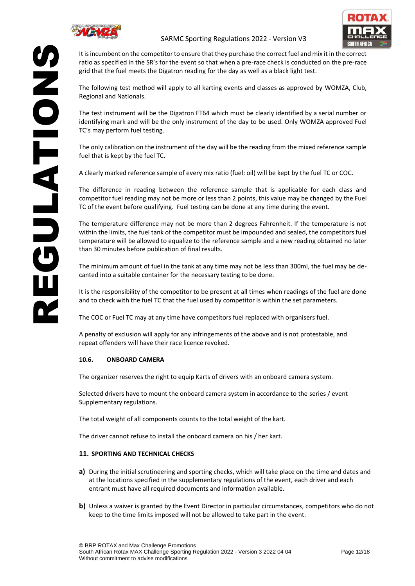



It is incumbent on the competitor to ensure that they purchase the correct fuel and mix it in the correct ratio as specified in the SR's for the event so that when a pre-race check is conducted on the pre-race grid that the fuel meets the Digatron reading for the day as well as a black light test.

The following test method will apply to all karting events and classes as approved by WOMZA, Club, Regional and Nationals.

The test instrument will be the Digatron FT64 which must be clearly identified by a serial number or identifying mark and will be the only instrument of the day to be used. Only WOMZA approved Fuel TC's may perform fuel testing.

The only calibration on the instrument of the day will be the reading from the mixed reference sample fuel that is kept by the fuel TC.

A clearly marked reference sample of every mix ratio (fuel: oil) will be kept by the fuel TC or COC.

The difference in reading between the reference sample that is applicable for each class and competitor fuel reading may not be more or less than 2 points, this value may be changed by the Fuel TC of the event before qualifying. Fuel testing can be done at any time during the event.

The temperature difference may not be more than 2 degrees Fahrenheit. If the temperature is not within the limits, the fuel tank of the competitor must be impounded and sealed, the competitors fuel temperature will be allowed to equalize to the reference sample and a new reading obtained no later than 30 minutes before publication of final results.

The minimum amount of fuel in the tank at any time may not be less than 300ml, the fuel may be decanted into a suitable container for the necessary testing to be done.

It is the responsibility of the competitor to be present at all times when readings of the fuel are done and to check with the fuel TC that the fuel used by competitor is within the set parameters.

The COC or Fuel TC may at any time have competitors fuel replaced with organisers fuel.

A penalty of exclusion will apply for any infringements of the above and is not protestable, and repeat offenders will have their race licence revoked.

# **10.6. ONBOARD CAMERA**

The organizer reserves the right to equip Karts of drivers with an onboard camera system.

Selected drivers have to mount the onboard camera system in accordance to the series / event Supplementary regulations.

The total weight of all components counts to the total weight of the kart.

The driver cannot refuse to install the onboard camera on his / her kart.

# <span id="page-11-0"></span>**11. SPORTING AND TECHNICAL CHECKS**

- **a)** During the initial scrutineering and sporting checks, which will take place on the time and dates and at the locations specified in the supplementary regulations of the event, each driver and each entrant must have all required documents and information available.
- **b)** Unless a waiver is granted by the Event Director in particular circumstances, competitors who do not keep to the time limits imposed will not be allowed to take part in the event.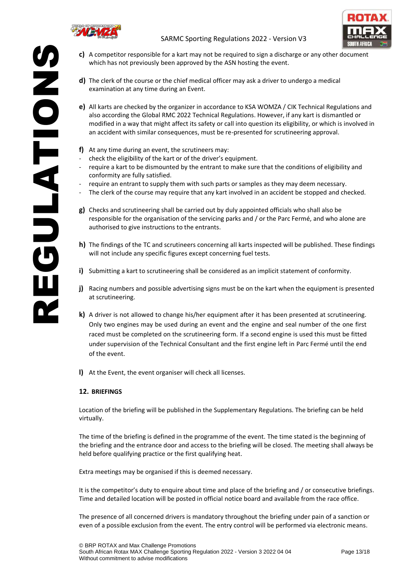

EGULATION



- **c)** A competitor responsible for a kart may not be required to sign a discharge or any other document which has not previously been approved by the ASN hosting the event.
- **d)** The clerk of the course or the chief medical officer may ask a driver to undergo a medical examination at any time during an Event.
- **SZOLATIONS e)** All karts are checked by the organizer in accordance to KSA WOMZA / CIK Technical Regulations and also according the Global RMC 2022 Technical Regulations. However, if any kart is dismantled or modified in a way that might affect its safety or call into question its eligibility, or which is involved in an accident with similar consequences, must be re-presented for scrutineering approval.
	- **f)** At any time during an event, the scrutineers may:
	- check the eligibility of the kart or of the driver's equipment.
	- require a kart to be dismounted by the entrant to make sure that the conditions of eligibility and conformity are fully satisfied.
	- require an entrant to supply them with such parts or samples as they may deem necessary.
	- The clerk of the course may require that any kart involved in an accident be stopped and checked.
	- **g)** Checks and scrutineering shall be carried out by duly appointed officials who shall also be responsible for the organisation of the servicing parks and / or the Parc Fermé, and who alone are authorised to give instructions to the entrants.
	- **h)** The findings of the TC and scrutineers concerning all karts inspected will be published. These findings will not include any specific figures except concerning fuel tests.
	- **i)** Submitting a kart to scrutineering shall be considered as an implicit statement of conformity.
	- **j)** Racing numbers and possible advertising signs must be on the kart when the equipment is presented at scrutineering.
	- **k)** A driver is not allowed to change his/her equipment after it has been presented at scrutineering. Only two engines may be used during an event and the engine and seal number of the one first raced must be completed on the scrutineering form. If a second engine is used this must be fitted under supervision of the Technical Consultant and the first engine left in Parc Fermé until the end of the event.
	- **l)** At the Event, the event organiser will check all licenses.

# <span id="page-12-0"></span>**12. BRIEFINGS**

Location of the briefing will be published in the Supplementary Regulations. The briefing can be held virtually.

The time of the briefing is defined in the programme of the event. The time stated is the beginning of the briefing and the entrance door and access to the briefing will be closed. The meeting shall always be held before qualifying practice or the first qualifying heat.

Extra meetings may be organised if this is deemed necessary.

It is the competitor's duty to enquire about time and place of the briefing and / or consecutive briefings. Time and detailed location will be posted in official notice board and available from the race office.

The presence of all concerned drivers is mandatory throughout the briefing under pain of a sanction or even of a possible exclusion from the event. The entry control will be performed via electronic means.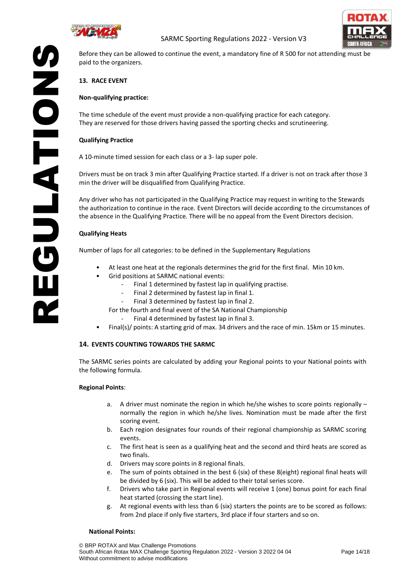



Before they can be allowed to continue the event, a mandatory fine of R 500 for not attending must be paid to the organizers.

# <span id="page-13-0"></span>**13. RACE EVENT**

# **Non-qualifying practice:**

The time schedule of the event must provide a non-qualifying practice for each category. They are reserved for those drivers having passed the sporting checks and scrutineering.

#### **Qualifying Practice**

SNOIDIS SN

A 10-minute timed session for each class or a 3- lap super pole.

Drivers must be on track 3 min after Qualifying Practice started. If a driver is not on track after those 3 min the driver will be disqualified from Qualifying Practice.

**REGULATIONS** Any driver who has not participated in the Qualifying Practice may request in writing to the Stewards the authorization to continue in the race. Event Directors will decide according to the circumstances of the absence in the Qualifying Practice. There will be no appeal from the Event Directors decision.

# **Qualifying Heats**

Number of laps for all categories: to be defined in the Supplementary Regulations

- At least one heat at the regionals determines the grid for the first final. Min 10 km.
- Grid positions at SARMC national events:
	- Final 1 determined by fastest lap in qualifying practise.
	- Final 2 determined by fastest lap in final 1.
	- Final 3 determined by fastest lap in final 2.

For the fourth and final event of the SA National Championship

- Final 4 determined by fastest lap in final 3.
- Final(s)/ points: A starting grid of max. 34 drivers and the race of min. 15km or 15 minutes.

# <span id="page-13-1"></span>**14. EVENTS COUNTING TOWARDS THE SARMC**

The SARMC series points are calculated by adding your Regional points to your National points with the following formula.

#### **Regional Points**:

- a. A driver must nominate the region in which he/she wishes to score points regionally normally the region in which he/she lives. Nomination must be made after the first scoring event.
- b. Each region designates four rounds of their regional championship as SARMC scoring events.
- c. The first heat is seen as a qualifying heat and the second and third heats are scored as two finals.
- d. Drivers may score points in 8 regional finals.
- e. The sum of points obtained in the best 6 (six) of these 8(eight) regional final heats will be divided by 6 (six). This will be added to their total series score.
- f. Drivers who take part in Regional events will receive 1 (one) bonus point for each final heat started (crossing the start line).
- g. At regional events with less than 6 (six) starters the points are to be scored as follows: from 2nd place if only five starters, 3rd place if four starters and so on.

#### **National Points:**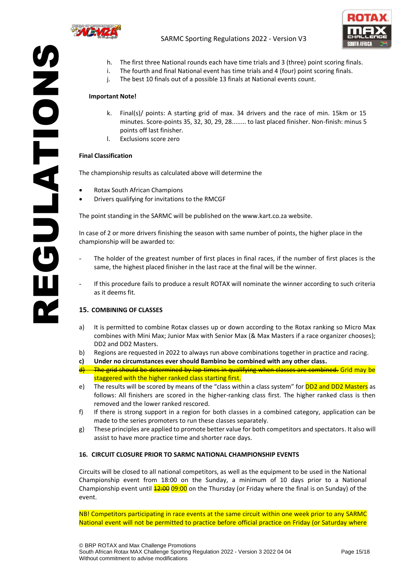



- h. The first three National rounds each have time trials and 3 (three) point scoring finals.
- i. The fourth and final National event has time trials and 4 (four) point scoring finals.
- j. The best 10 finals out of a possible 13 finals at National events count.

#### **Important Note!**

- k. Final(s)/ points: A starting grid of max. 34 drivers and the race of min. 15km or 15 minutes. Score-points 35, 32, 30, 29, 28........ to last placed finisher. Non-finish: minus 5 points off last finisher.
- l. Exclusions score zero

#### **Final Classification**

**SNOIDED** 

The championship results as calculated above will determine the

- Rotax South African Champions
- Drivers qualifying for invitations to the RMCGF

The point standing in the SARMC will be published on the www.kart.co.za website.

In case of 2 or more drivers finishing the season with same number of points, the higher place in the championship will be awarded to:

- **SNEGULATIONS** The holder of the greatest number of first places in final races, if the number of first places is the same, the highest placed finisher in the last race at the final will be the winner.
	- If this procedure fails to produce a result ROTAX will nominate the winner according to such criteria as it deems fit.

#### <span id="page-14-0"></span>**15. COMBINING OF CLASSES**

- a) It is permitted to combine Rotax classes up or down according to the Rotax ranking so Micro Max combines with Mini Max; Junior Max with Senior Max (& Max Masters if a race organizer chooses); DD2 and DD2 Masters.
- b) Regions are requested in 2022 to always run above combinations together in practice and racing.
- **c) Under no circumstances ever should Bambino be combined with any other class.**
- The grid should be determined by lap times in qualifying when classes are combined. Grid may be staggered with the higher ranked class starting first.
- e) The results will be scored by means of the "class within a class system" for DD2 and DD2 Masters as follows: All finishers are scored in the higher-ranking class first. The higher ranked class is then removed and the lower ranked rescored.
- f) If there is strong support in a region for both classes in a combined category, application can be made to the series promoters to run these classes separately.
- g) These principles are applied to promote better value for both competitors and spectators. It also will assist to have more practice time and shorter race days.

#### <span id="page-14-1"></span>**16. CIRCUIT CLOSURE PRIOR TO SARMC NATIONAL CHAMPIONSHIP EVENTS**

Circuits will be closed to all national competitors, as well as the equipment to be used in the National Championship event from 18:00 on the Sunday, a minimum of 10 days prior to a National Championship event until  $\frac{12:00}{12:00}$  on the Thursday (or Friday where the final is on Sunday) of the event.

NB! Competitors participating in race events at the same circuit within one week prior to any SARMC National event will not be permitted to practice before official practice on Friday (or Saturday where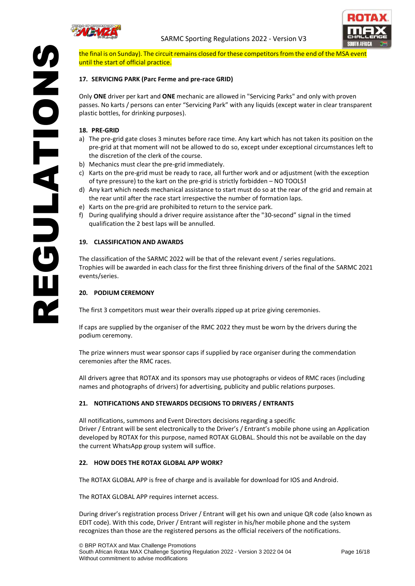



the final is on Sunday). The circuit remains closed forthese competitors from the end of the MSA event until the start of official practice.

# <span id="page-15-0"></span>**17. SERVICING PARK (Parc Ferme and pre-race GRID)**

Only **ONE** driver per kart and **ONE** mechanic are allowed in "Servicing Parks" and only with proven passes. No karts / persons can enter "Servicing Park" with any liquids (except water in clear transparent plastic bottles, for drinking purposes).

#### <span id="page-15-1"></span>**18. PRE-GRID**

**NOIDEATION** 

- a) The pre-grid gate closes 3 minutes before race time. Any kart which has not taken its position on the pre-grid at that moment will not be allowed to do so, except under exceptional circumstances left to the discretion of the clerk of the course.
- b) Mechanics must clear the pre-grid immediately.
- c) Karts on the pre-grid must be ready to race, all further work and or adjustment (with the exception of tyre pressure) to the kart on the pre-grid is strictly forbidden – NO TOOLS**!**
- d) Any kart which needs mechanical assistance to start must do so at the rear of the grid and remain at the rear until after the race start irrespective the number of formation laps.
- e) Karts on the pre-grid are prohibited to return to the service park.
- f) During qualifying should a driver require assistance after the "30-second" signal in the timed qualification the 2 best laps will be annulled.

# <span id="page-15-2"></span>**19. CLASSIFICATION AND AWARDS**

**REGULATION** The classification of the SARMC 2022 will be that of the relevant event / series regulations. Trophies will be awarded in each class for the first three finishing drivers of the final of the SARMC 2021 events/series.

#### <span id="page-15-3"></span>**20. PODIUM CEREMONY**

The first 3 competitors must wear their overalls zipped up at prize giving ceremonies.

If caps are supplied by the organiser of the RMC 2022 they must be worn by the drivers during the podium ceremony.

The prize winners must wear sponsor caps if supplied by race organiser during the commendation ceremonies after the RMC races.

All drivers agree that ROTAX and its sponsors may use photographs or videos of RMC races (including names and photographs of drivers) for advertising, publicity and public relations purposes.

#### <span id="page-15-4"></span>**21. NOTIFICATIONS AND STEWARDS DECISIONS TO DRIVERS / ENTRANTS**

All notifications, summons and Event Directors decisions regarding a specific Driver / Entrant will be sent electronically to the Driver's / Entrant's mobile phone using an Application developed by ROTAX for this purpose, named ROTAX GLOBAL. Should this not be available on the day the current WhatsApp group system will suffice.

#### <span id="page-15-5"></span>**22. HOW DOES THE ROTAX GLOBAL APP WORK?**

The ROTAX GLOBAL APP is free of charge and is available for download for IOS and Android.

The ROTAX GLOBAL APP requires internet access.

During driver's registration process Driver / Entrant will get his own and unique QR code (also known as EDIT code). With this code, Driver / Entrant will register in his/her mobile phone and the system recognizes than those are the registered persons as the official receivers of the notifications.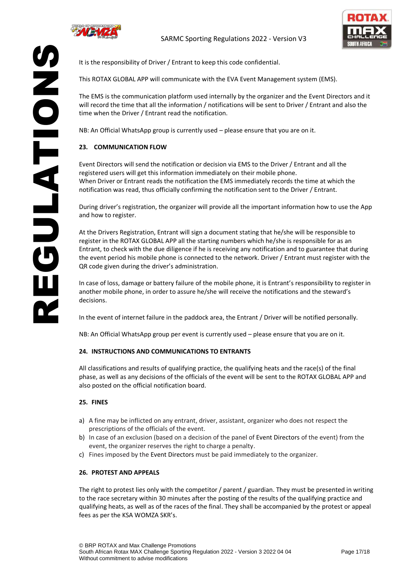

SNONDENS



It is the responsibility of Driver / Entrant to keep this code confidential.

This ROTAX GLOBAL APP will communicate with the EVA Event Management system (EMS).

The EMS is the communication platform used internally by the organizer and the Event Directors and it will record the time that all the information / notifications will be sent to Driver / Entrant and also the time when the Driver / Entrant read the notification.

NB: An Official WhatsApp group is currently used – please ensure that you are on it.

# <span id="page-16-0"></span>**23. COMMUNICATION FLOW**

Event Directors will send the notification or decision via EMS to the Driver / Entrant and all the registered users will get this information immediately on their mobile phone. When Driver or Entrant reads the notification the EMS immediately records the time at which the notification was read, thus officially confirming the notification sent to the Driver / Entrant.

During driver's registration, the organizer will provide all the important information how to use the App and how to register.

**REGULATION** At the Drivers Registration, Entrant will sign a document stating that he/she will be responsible to register in the ROTAX GLOBAL APP all the starting numbers which he/she is responsible for as an Entrant, to check with the due diligence if he is receiving any notification and to guarantee that during the event period his mobile phone is connected to the network. Driver / Entrant must register with the QR code given during the driver's administration.

In case of loss, damage or battery failure of the mobile phone, it is Entrant's responsibility to register in another mobile phone, in order to assure he/she will receive the notifications and the steward's decisions.

In the event of internet failure in the paddock area, the Entrant / Driver will be notified personally.

NB: An Official WhatsApp group per event is currently used – please ensure that you are on it.

#### <span id="page-16-1"></span>**24. INSTRUCTIONS AND COMMUNICATIONS TO ENTRANTS**

All classifications and results of qualifying practice, the qualifying heats and the race(s) of the final phase, as well as any decisions of the officials of the event will be sent to the ROTAX GLOBAL APP and also posted on the official notification board.

#### <span id="page-16-2"></span>**25. FINES**

- a) A fine may be inflicted on any entrant, driver, assistant, organizer who does not respect the prescriptions of the officials of the event.
- b) In case of an exclusion (based on a decision of the panel of Event Directors of the event) from the event, the organizer reserves the right to charge a penalty.
- c) Fines imposed by the Event Directors must be paid immediately to the organizer.

#### <span id="page-16-3"></span>**26. PROTEST AND APPEALS**

The right to protest lies only with the competitor / parent / guardian. They must be presented in writing to the race secretary within 30 minutes after the posting of the results of the qualifying practice and qualifying heats, as well as of the races of the final. They shall be accompanied by the protest or appeal fees as per the KSA WOMZA SKR's.